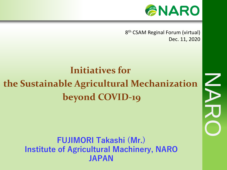

NARD<br>NARO

8 th CSAM Reginal Forum (virtual) Dec. 11, 2020

# **Initiatives for the Sustainable Agricultural Mechanization beyond COVID-19**

**FUJIMORI Takashi (Mr.) Institute of Agricultural Machinery, NARO JAPAN**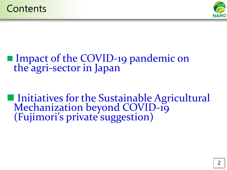

## ■ Impact of the COVID-19 pandemic on the agri-sector in Japan

■ Initiatives for the Sustainable Agricultural Mechanization beyond COVID-19 (Fujimori's private suggestion)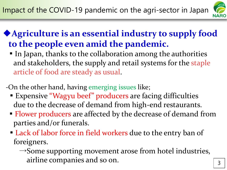

### ◆**Agriculture is an essential industry to supply food to the people even amid the pandemic.**

- In Japan, thanks to the collaboration among the authorities and stakeholders, the supply and retail systems for the staple article of food are steady as usual.
- -On the other hand, having emerging issues like;
	- Expensive "Wagyu beef" producers are facing difficulties due to the decrease of demand from high-end restaurants.
	- **Flower producers are affected by the decrease of demand from** parties and/or funerals.
	- Lack of labor force in field workers due to the entry ban of foreigners.
		- $\rightarrow$  Some supporting movement arose from hotel industries, airline companies and so on.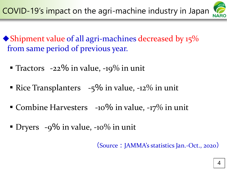

- $\blacklozenge$ Shipment value of all agri-machines decreased by 15% from same period of previous year.
	- **Tractors**  $-22\%$  in value,  $-19\%$  in unit
	- **Rice Transplanters**  $-5\%$  in value,  $-12\%$  in unit
	- Combine Harvesters  $-10\%$  in value,  $-17\%$  in unit
	- **•** Dryers  $-9\%$  in value,  $-10\%$  in unit

(Source: JAMMA's statistics Jan.-Oct., 2020)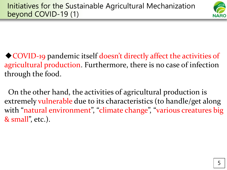

◆ COVID-19 pandemic itself doesn't directly affect the activities of agricultural production. Furthermore, there is no case of infection through the food.

On the other hand, the activities of agricultural production is extremely vulnerable due to its characteristics (to handle/get along with "natural environment", "climate change", "various creatures big & small", etc.).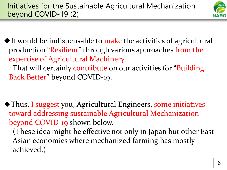

 $\blacklozenge$  It would be indispensable to make the activities of agricultural production "Resilient" through various approaches from the expertise of Agricultural Machinery. That will certainly contribute on our activities for "Building

Back Better" beyond COVID-19.

◆Thus, I suggest you, Agricultural Engineers, some initiatives toward addressing sustainable Agricultural Mechanization beyond COVID-19 shown below.

(These idea might be effective not only in Japan but other East Asian economies where mechanized farming has mostly achieved.)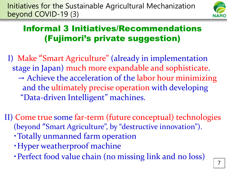

#### Informal 3 Initiatives/Recommendations (Fujimori's private suggestion)

- I) Make "Smart Agriculture" (already in implementation stage in Japan) much more expandable and sophisticate.  $\rightarrow$  Achieve the acceleration of the labor hour minimizing and the ultimately precise operation with developing "Data-driven Intelligent" machines.
- II) Come true some far-term (future conceptual) technologies (beyond "Smart Agriculture", by "destructive innovation").
	- ・Totally unmanned farm operation
	- ・Hyper weatherproof machine
	- ・Perfect food value chain (no missing link and no loss)